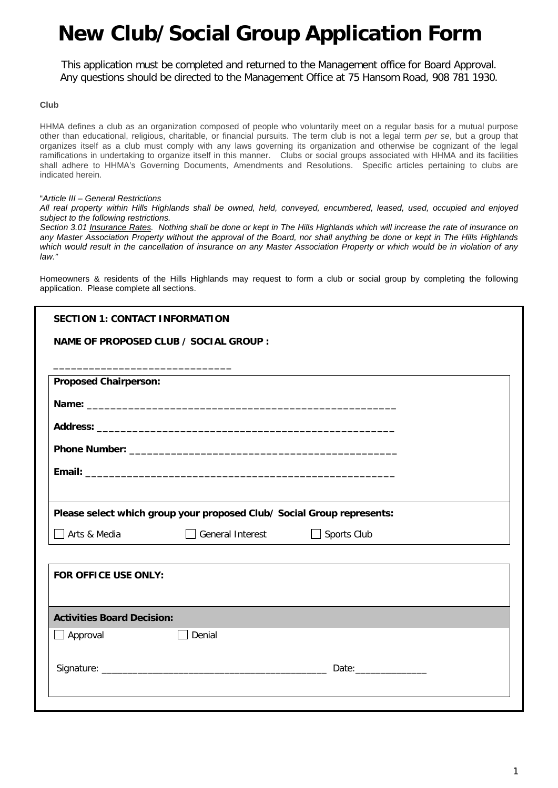This application must be completed and returned to the Management office for Board Approval. Any questions should be directed to the Management Office at 75 Hansom Road, 908 781 1930.

#### **Club**

HHMA defines a club as an organization composed of people who voluntarily meet on a regular basis for a mutual purpose other than educational, religious, charitable, or financial pursuits. The term club is not a legal term *per se*, but a group that organizes itself as a club must comply with any laws governing its organization and otherwise be cognizant of the legal ramifications in undertaking to organize itself in this manner. Clubs or social groups associated with HHMA and its facilities shall adhere to HHMA's Governing Documents, Amendments and Resolutions. Specific articles pertaining to clubs are indicated herein.

#### "*Article III – General Restrictions*

*All real property within Hills Highlands shall be owned, held, conveyed, encumbered, leased, used, occupied and enjoyed subject to the following restrictions.*

*Section 3.01 Insurance Rates. Nothing shall be done or kept in The Hills Highlands which will increase the rate of insurance on any Master Association Property without the approval of the Board, nor shall anything be done or kept in The Hills Highlands which would result in the cancellation of insurance on any Master Association Property or which would be in violation of any law."*

Homeowners & residents of the Hills Highlands may request to form a club or social group by completing the following application. Please complete all sections.

| <b>SECTION 1: CONTACT INFORMATION</b>                                                                            |                                                                        |                    |  |
|------------------------------------------------------------------------------------------------------------------|------------------------------------------------------------------------|--------------------|--|
|                                                                                                                  | NAME OF PROPOSED CLUB / SOCIAL GROUP :                                 |                    |  |
| and the control of the control of the control of the control of the control of the control of the control of the |                                                                        |                    |  |
| <b>Proposed Chairperson:</b>                                                                                     |                                                                        |                    |  |
|                                                                                                                  |                                                                        |                    |  |
|                                                                                                                  |                                                                        |                    |  |
|                                                                                                                  |                                                                        |                    |  |
|                                                                                                                  |                                                                        |                    |  |
|                                                                                                                  |                                                                        |                    |  |
|                                                                                                                  | Please select which group your proposed Club/ Social Group represents: |                    |  |
| Arts & Media                                                                                                     | General Interest                                                       | $\Box$ Sports Club |  |
| FOR OFFICE USE ONLY:                                                                                             |                                                                        |                    |  |
| <b>Activities Board Decision:</b>                                                                                |                                                                        |                    |  |
| $\Box$ Approval                                                                                                  | Denial                                                                 |                    |  |
|                                                                                                                  |                                                                        |                    |  |
|                                                                                                                  |                                                                        |                    |  |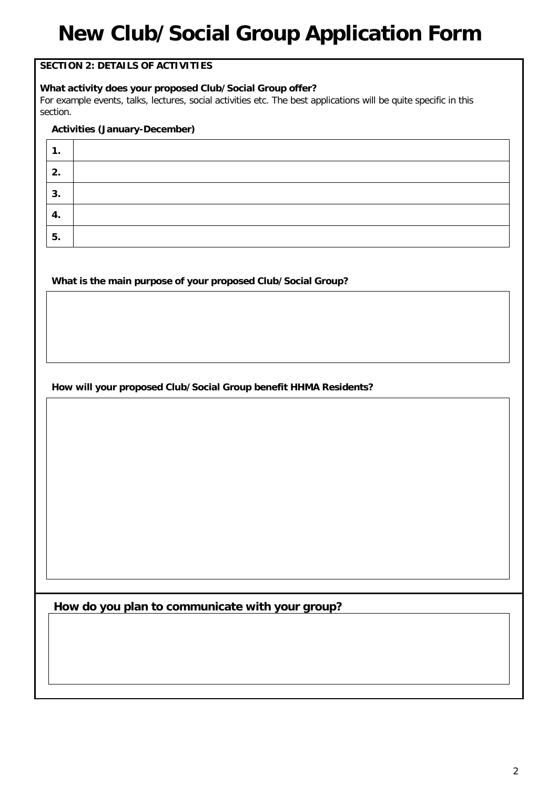### **SECTION 2: DETAILS OF ACTIVITIES**

#### **What activity does your proposed Club/Social Group offer?**

For example events, talks, lectures, social activities etc. The best applications will be quite specific in this section.

#### **Activities (January-December)**

| . . |  |
|-----|--|
| 2.  |  |
| 3.  |  |
| -4. |  |
| 5.  |  |

#### **What is the main purpose of your proposed Club/Social Group?**

### **How will your proposed Club/Social Group benefit HHMA Residents?**

**How do you plan to communicate with your group?**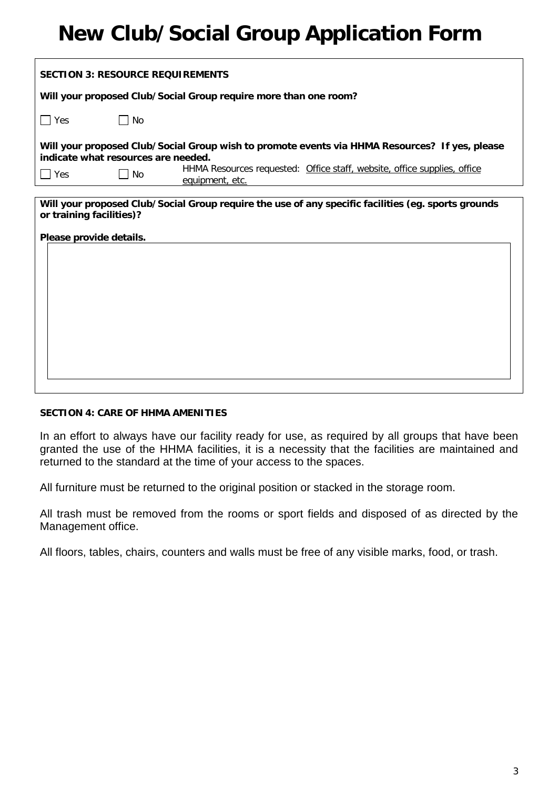| <b>SECTION 3: RESOURCE REQUIREMENTS</b>                                                                                                                                                                                                      |  |  |  |  |  |  |
|----------------------------------------------------------------------------------------------------------------------------------------------------------------------------------------------------------------------------------------------|--|--|--|--|--|--|
| Will your proposed Club/Social Group require more than one room?                                                                                                                                                                             |  |  |  |  |  |  |
| $\Box$ Yes<br>$\blacksquare$ No                                                                                                                                                                                                              |  |  |  |  |  |  |
| Will your proposed Club/Social Group wish to promote events via HHMA Resources? If yes, please<br>indicate what resources are needed.<br>HHMA Resources requested: Office staff, website, office supplies, office<br>$\neg$ Yes<br><b>No</b> |  |  |  |  |  |  |
| equipment, etc.                                                                                                                                                                                                                              |  |  |  |  |  |  |
| Will your proposed Club/Social Group require the use of any specific facilities (eg. sports grounds<br>or training facilities)?<br>Please provide details.                                                                                   |  |  |  |  |  |  |

#### **SECTION 4: CARE OF HHMA AMENITIES**

In an effort to always have our facility ready for use, as required by all groups that have been granted the use of the HHMA facilities, it is a necessity that the facilities are maintained and returned to the standard at the time of your access to the spaces.

All furniture must be returned to the original position or stacked in the storage room.

All trash must be removed from the rooms or sport fields and disposed of as directed by the Management office.

All floors, tables, chairs, counters and walls must be free of any visible marks, food, or trash.